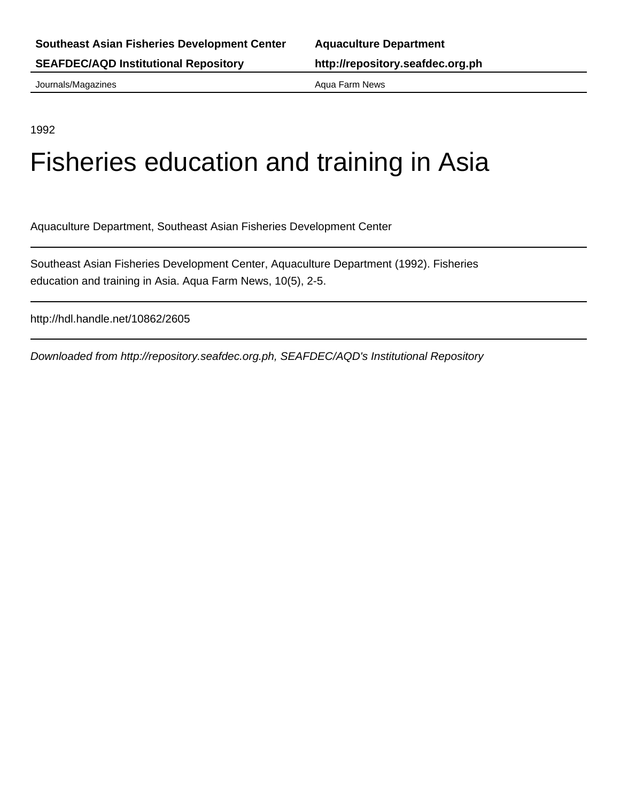Journals/Magazines **Aqua Farm News** Aqua Farm News

1992

# Fisheries education and training in Asia

Aquaculture Department, Southeast Asian Fisheries Development Center

Southeast Asian Fisheries Development Center, Aquaculture Department (1992). Fisheries education and training in Asia. Aqua Farm News, 10(5), 2-5.

http://hdl.handle.net/10862/2605

Downloaded from http://repository.seafdec.org.ph, SEAFDEC/AQD's Institutional Repository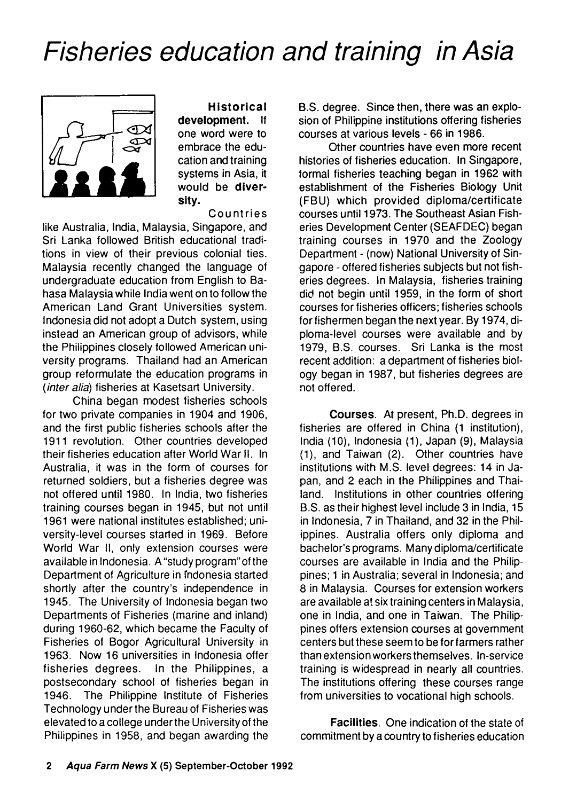# *Fisheries education and training in Asia*



**H istorical development**. If one word were to embrace the education and training systems in Asia, it would be diversity.

#### **Countries**

like Australia, India, Malaysia, Singapore, and Sri Lanka followed British educational traditions in view of their previous colonial ties. Malaysia recently changed the language of undergraduate education from English to Bahasa Malaysia while India went on to follow the American Land Grant Universities system. Indonesia did not adopt a Dutch system, using instead an American group of advisors, while the Philippines closely followed American university programs. Thailand had an American group reformulate the education programs in *(inter alia)* fisheries at Kasetsart University.

China began modest fisheries schools for two private companies in 1904 and 1906, and the first public fisheries schools after the 1911 revolution. Other countries developed their fisheries education after World War II. In Australia, it was in the form of courses for returned soldiers, but a fisheries degree was not offered until 1980. In India, two fisheries training courses began in 1945, but not until 1961 were national institutes established; university-level courses started in 1969. Before World War II, only extension courses were available in Indonesia. A "study program" of the Department of Agriculture in Indonesia started shortly after the country's independence in 1945. The University of Indonesia began two Departments of Fisheries (marine and inland) during 1960-62, which became the Faculty of Fisheries of Bogor Agricultural University in 1963. Now 16 universities in Indonesia offer fisheries degrees. In the Philippines, a postsecondary school of fisheries began in 1946. The Philippine Institute of Fisheries Technology under the Bureau of Fisheries was elevated to a college under the University of the Philippines in 1958, and began awarding the B.S. degree. Since then, there was an explosion of Philippine institutions offering fisheries courses at various levels - 66 in 1986.

Other countries have even more recent histories of fisheries education. In Singapore, formal fisheries teaching began in 1962 with establishment of the Fisheries Biology Unit (FBU) which provided diploma/certificate courses until 1973. The Southeast Asian Fisheries Development Center (SEAFDEC) began training courses in 1970 and the Zoology Department - (now) National University of Singapore - offered fisheries subjects but not fisheries degrees. In Malaysia, fisheries training did not begin until 1959, in the form of short courses for fisheries officers; fisheries schools for fishermen began the next year. By 1974, diploma-level courses were available and by 1979, B.S. courses. Sri Lanka is the most recent addition: a department of fisheries biology began in 1987, but fisheries degrees are not offered.

**Courses.** At present, Ph.D. degrees in fisheries are offered in China (1 institution), India (10), Indonesia (1), Japan (9), Malaysia (1), and Taiwan (2). Other countries have institutions with M.S. level degrees: 14 in Japan, and 2 each in the Philippines and Thailand. Institutions in other countries offering B.S. as their highest level include 3 in India, 15 in Indonesia, 7 in Thailand, and 32 in the Philippines. Australia offers only diploma and bachelor's programs. Many diploma/certificate courses are available in India and the Philippines; 1 in Australia; several in Indonesia; and 8 in Malaysia. Courses for extension workers are available at six training centers in Malaysia, one in India, and one in Taiwan. The Philippines offers extension courses at government centers but these seem to be for farmers rather than extension workers themselves. In-service training is widespread in nearly all countries. The institutions offering these courses range from universities to vocational high schools.

**Facilities**. One indication of the state of commitment by a country to fisheries education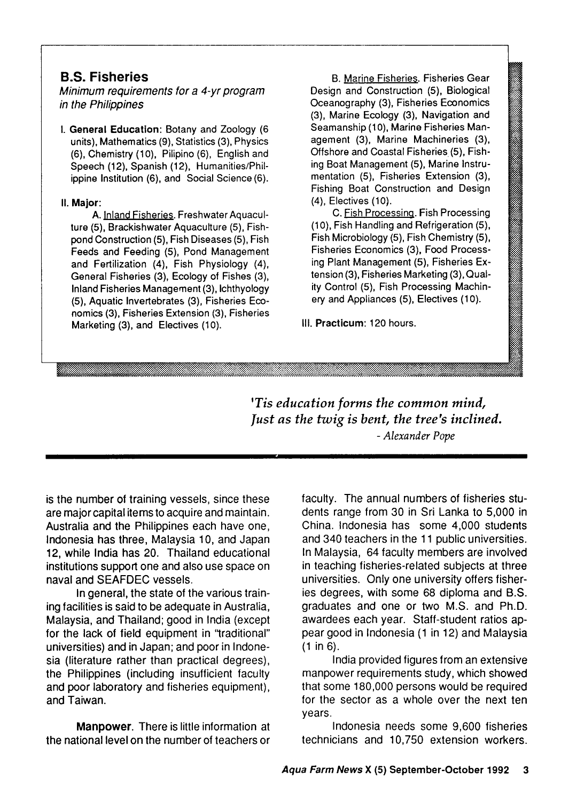## **B.S. Fisheries**

*Minimum requirements for a 4-yr program in the Philippines*

**I. General Education:** Botany and Zoology (6 units), Mathematics (9), Statistics (3), Physics (6), Chem istry (10), Pilipino (6), English and Speech (12), Spanish (12), Humanities/Philippine Institution (6), and Social Science (6).

#### **II. Major:**

A. Inland Fisheries. Freshwater Aquaculture (5), Brackishwater Aquaculture (5), Fishpond Construction (5), Fish Diseases (5), Fish Feeds and Feeding (5), Pond Management and Fertilization (4), Fish Physiology (4), General Fisheries (3), Ecology of Fishes (3), Inland Fisheries Management (3), Ichthyology (5), Aquatic Invertebrates (3), Fisheries Economics (3), Fisheries Extension (3), Fisheries Marketing (3), and Electives (10).

B. Marine Fisheries. Fisheries Gear Design and Construction (5), Biological Oceanography (3), Fisheries Economics (3), Marine Ecology (3), Navigation and Seamanship (10), Marine Fisheries Management (3), Marine Machineries (3), Offshore and Coastal Fisheries (5), Fishing Boat Management (5), Marine Instrumentation (5), Fisheries Extension (3), Fishing Boat Construction and Design (4), Electives (10).

C. Fish Processing. Fish Processing (10), Fish Handling and Refrigeration (5), Fish Microbiology (5), Fish Chemistry (5), Fisheries Economics (3), Food Processing Plant Management (5), Fisheries Extension (3), Fisheries Marketing (3), Quality Control (5), Fish Processing Machinery and Appliances (5), Electives (10).

**III. Practicum: 120 hours.** 

**'***Tis education forms the common mind, fust as the twig is bent, the tree's inclined. - Alexander Pope*

is the number of training vessels, since these are major capital items to acquire and maintain. Australia and the Philippines each have one, Indonesia has three, Malaysia 10, and Japan 12, while India has 20. Thailand educational institutions support one and also use space on naval and SEAFDEC vessels.

In general, the state of the various training facilities is said to be adequate in Australia, Malaysia, and Thailand; good in India (except for the lack of field equipment in "traditional" universities) and in Japan; and poor in Indonesia (literature rather than practical degrees), the Philippines (including insufficient faculty and poor laboratory and fisheries equipment), and Taiwan.

**Manpower**. There is little information at the national level on the number of teachers or

faculty. The annual numbers of fisheries students range from 30 in Sri Lanka to 5,000 in China. Indonesia has some 4,000 students and 340 teachers in the 11 public universities. In Malaysia, 64 faculty members are involved in teaching fisheries-related subjects at three universities. Only one university offers fisheries degrees, with some 68 diploma and B.S. graduates and one or two M.S. and Ph.D. awardees each year. Staff-student ratios appear good in Indonesia (1 in 12) and Malaysia (1 in 6).

India provided figures from an extensive manpower requirements study, which showed that some 180,000 persons would be required for the sector as a whole over the next ten years.

Indonesia needs some 9,600 fisheries technicians and 10,750 extension workers.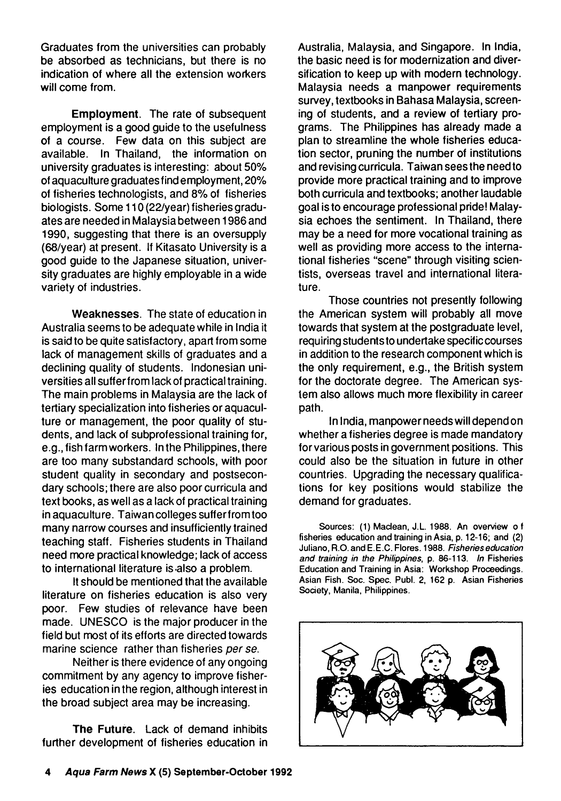Graduates from the universities can probably be absorbed as technicians, but there is no indication of where all the extension workers will come from.

**Employment**. The rate of subsequent employment is a good guide to the usefulness of a course. Few data on this subject are available. In Thailand, the information on university graduates is interesting: about 50% of aquaculture graduates find employment, 20% of fisheries technologists, and 8% of fisheries biologists. Some 110 (22/year) fisheries graduates are needed in Malaysia between 1986 and 1990, suggesting that there is an oversupply (68/year) at present. If Kitasato University is a good guide to the Japanese situation, university graduates are highly employable in a wide variety of industries.

**Weaknesses**. The state of education in Australia seems to be adequate while in India it is said to be quite satisfactory, apart from some lack of management skills of graduates and a declining quality of students. Indonesian universities all suffer from lack of practical training. The main problems in Malaysia are the lack of tertiary specialization into fisheries or aquaculture or management, the poor quality of students, and lack of subprofessional training for, e.g., fish farmworkers. In the Philippines, there are too many substandard schools, with poor student quality in secondary and postsecondary schools; there are also poor curricula and text books, as well as a lack of practical training in aquaculture. Taiwan colleges suffer from too many narrow courses and insufficiently trained teaching staff. Fisheries students in Thailand need more practical knowledge; lack of access to international literature is also a problem.

It should be mentioned that the available literature on fisheries education is also very poor. Few studies of relevance have been made. UNESCO is the major producer in the field but most of its efforts are directed towards marine science rather than fisheries *per se.*

Neither is there evidence of any ongoing commitment by any agency to improve fisheries education in the region, although interest in the broad subject area may be increasing.

**The Future**. Lack of demand inhibits further development of fisheries education in Australia, Malaysia, and Singapore. In India, the basic need is for modernization and diversification to keep up with modern technology. Malaysia needs a manpower requirements survey, textbooks in Bahasa Malaysia, screening of students, and a review of tertiary programs. The Philippines has already made a plan to streamline the whole fisheries education sector, pruning the number of institutions and revising curricula. Taiwan sees the need to provide more practical training and to improve both curricula and textbooks; another laudable goal is to encourage professional pride! Malaysia echoes the sentiment. In Thailand, there may be a need for more vocational training as well as providing more access to the international fisheries "scene" through visiting scientists, overseas travel and international literature.

Those countries not presently following the American system will probably all move towards that system at the postgraduate level, requiring students to undertake specific courses in addition to the research component which is the only requirement, e.g., the British system for the doctorate degree. The American system also allows much more flexibility in career path.

In India, manpower needs will depend on whether a fisheries degree is made mandatory for various posts in government positions. This could also be the situation in future in other countries. Upgrading the necessary qualifications for key positions would stabilize the demand for graduates.

Sources: (1) Maclean, J.L. 1988. An overview o f fisheries education and training in Asia, p. 12-16; and (2) Juliano, R.O. and E.E.C. Flores. 1988. *Fisheries education and training in the Philippines,* p. 86-113. *In* Fisheries Education and Training in Asia: Workshop Proceedings. Asian Fish. Soc. Spec. Publ. 2, 162 p. Asian Fisheries Society, Manila, Philippines.